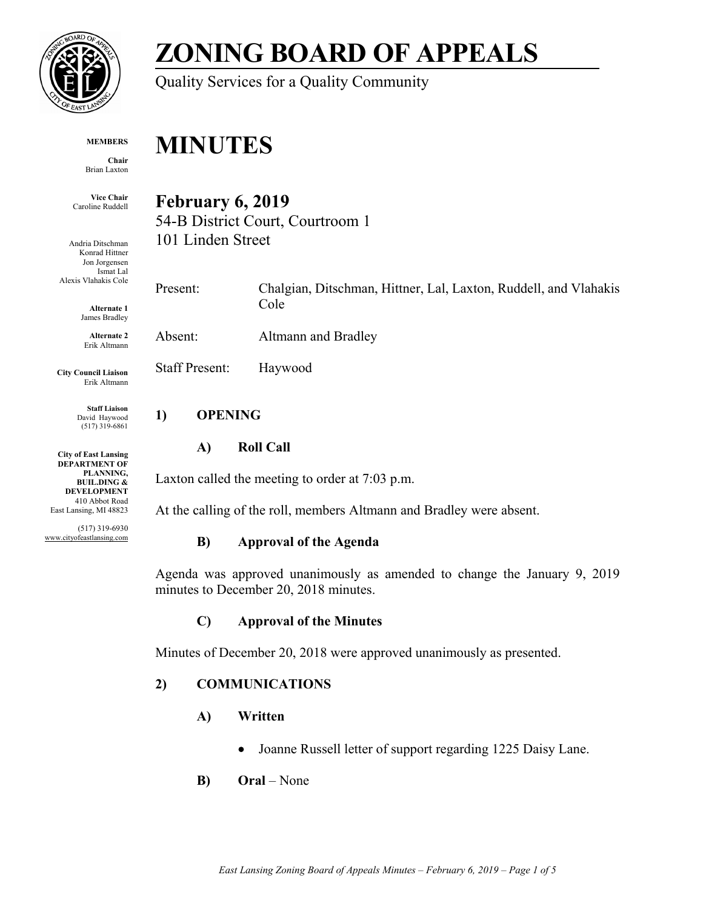

# **ZONING BOARD OF APPEALS**

Quality Services for a Quality Community

#### **MEMBERS**

**Chair** Brian Laxton

**Vice Chair** Caroline Ruddell

Andria Ditschman Konrad Hittner Jon Jorgensen Ismat Lal Alexis Vlahakis Cole

> **Alternate 1** James Bradley

**Alternate 2** Erik Altmann

**City Council Liaison** Erik Altmann

> **Staff Liaison** David Haywood (517) 319-6861

**City of East Lansing DEPARTMENT OF PLANNING, BUIL.DING & DEVELOPMENT** 410 Abbot Road East Lansing, MI 48823

(517) 319-6930 www.cityofeastlansing.com

# **MINUTES**

# **February 6, 2019**

54-B District Court, Courtroom 1 101 Linden Street

Present: Chalgian, Ditschman, Hittner, Lal, Laxton, Ruddell, and Vlahakis Cole

Absent: Altmann and Bradley

Staff Present: Haywood

# **1) OPENING**

# **A) Roll Call**

Laxton called the meeting to order at 7:03 p.m.

At the calling of the roll, members Altmann and Bradley were absent.

# **B) Approval of the Agenda**

Agenda was approved unanimously as amended to change the January 9, 2019 minutes to December 20, 2018 minutes.

# **C) Approval of the Minutes**

Minutes of December 20, 2018 were approved unanimously as presented.

# **2) COMMUNICATIONS**

- **A) Written**
	- Joanne Russell letter of support regarding 1225 Daisy Lane.
- **B) Oral**  None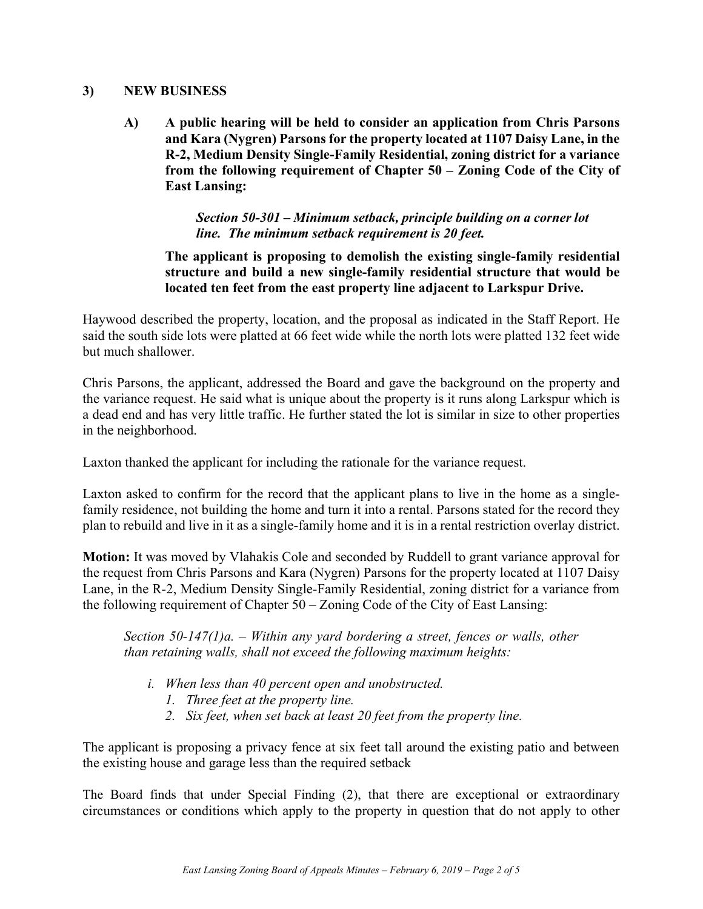#### **3) NEW BUSINESS**

**A) A public hearing will be held to consider an application from Chris Parsons and Kara (Nygren) Parsons for the property located at 1107 Daisy Lane, in the R-2, Medium Density Single-Family Residential, zoning district for a variance from the following requirement of Chapter 50 – Zoning Code of the City of East Lansing:**

#### *Section 50-301 – Minimum setback, principle building on a corner lot line. The minimum setback requirement is 20 feet.*

**The applicant is proposing to demolish the existing single-family residential structure and build a new single-family residential structure that would be located ten feet from the east property line adjacent to Larkspur Drive.** 

Haywood described the property, location, and the proposal as indicated in the Staff Report. He said the south side lots were platted at 66 feet wide while the north lots were platted 132 feet wide but much shallower.

Chris Parsons, the applicant, addressed the Board and gave the background on the property and the variance request. He said what is unique about the property is it runs along Larkspur which is a dead end and has very little traffic. He further stated the lot is similar in size to other properties in the neighborhood.

Laxton thanked the applicant for including the rationale for the variance request.

Laxton asked to confirm for the record that the applicant plans to live in the home as a singlefamily residence, not building the home and turn it into a rental. Parsons stated for the record they plan to rebuild and live in it as a single-family home and it is in a rental restriction overlay district.

**Motion:** It was moved by Vlahakis Cole and seconded by Ruddell to grant variance approval for the request from Chris Parsons and Kara (Nygren) Parsons for the property located at 1107 Daisy Lane, in the R-2, Medium Density Single-Family Residential, zoning district for a variance from the following requirement of Chapter 50 – Zoning Code of the City of East Lansing:

*Section 50-147(1)a. – Within any yard bordering a street, fences or walls, other than retaining walls, shall not exceed the following maximum heights:*

- *i. When less than 40 percent open and unobstructed.*
	- *1. Three feet at the property line.*
	- *2. Six feet, when set back at least 20 feet from the property line.*

The applicant is proposing a privacy fence at six feet tall around the existing patio and between the existing house and garage less than the required setback

The Board finds that under Special Finding (2), that there are exceptional or extraordinary circumstances or conditions which apply to the property in question that do not apply to other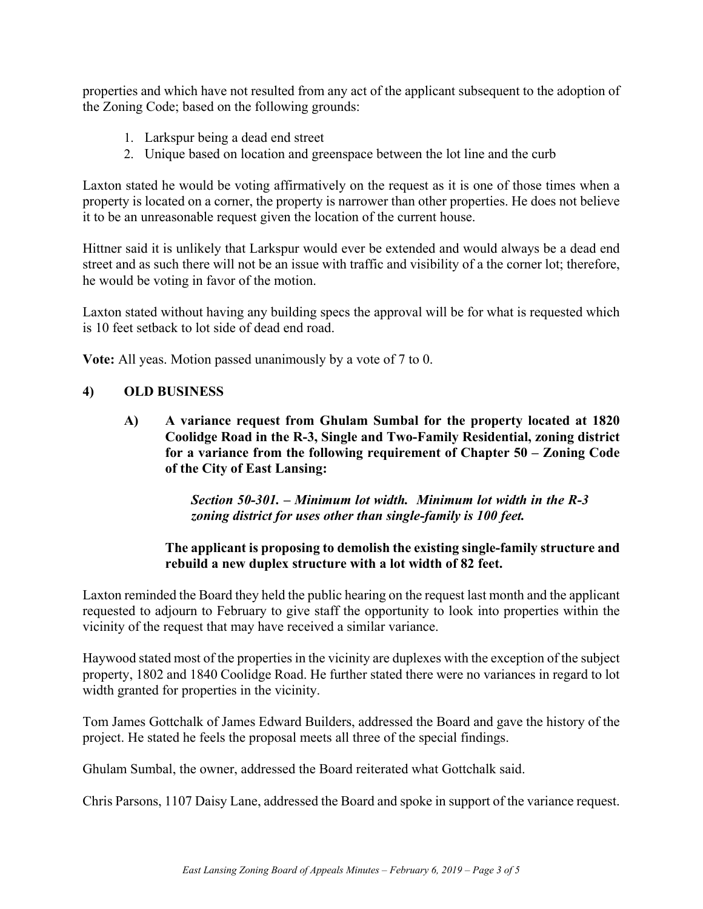properties and which have not resulted from any act of the applicant subsequent to the adoption of the Zoning Code; based on the following grounds:

- 1. Larkspur being a dead end street
- 2. Unique based on location and greenspace between the lot line and the curb

Laxton stated he would be voting affirmatively on the request as it is one of those times when a property is located on a corner, the property is narrower than other properties. He does not believe it to be an unreasonable request given the location of the current house.

Hittner said it is unlikely that Larkspur would ever be extended and would always be a dead end street and as such there will not be an issue with traffic and visibility of a the corner lot; therefore, he would be voting in favor of the motion.

Laxton stated without having any building specs the approval will be for what is requested which is 10 feet setback to lot side of dead end road.

**Vote:** All yeas. Motion passed unanimously by a vote of 7 to 0.

#### **4) OLD BUSINESS**

**A) A variance request from Ghulam Sumbal for the property located at 1820 Coolidge Road in the R-3, Single and Two-Family Residential, zoning district for a variance from the following requirement of Chapter 50 – Zoning Code of the City of East Lansing:**

> *Section 50-301. – Minimum lot width. Minimum lot width in the R-3 zoning district for uses other than single-family is 100 feet.*

#### **The applicant is proposing to demolish the existing single-family structure and rebuild a new duplex structure with a lot width of 82 feet.**

Laxton reminded the Board they held the public hearing on the request last month and the applicant requested to adjourn to February to give staff the opportunity to look into properties within the vicinity of the request that may have received a similar variance.

Haywood stated most of the properties in the vicinity are duplexes with the exception of the subject property, 1802 and 1840 Coolidge Road. He further stated there were no variances in regard to lot width granted for properties in the vicinity.

Tom James Gottchalk of James Edward Builders, addressed the Board and gave the history of the project. He stated he feels the proposal meets all three of the special findings.

Ghulam Sumbal, the owner, addressed the Board reiterated what Gottchalk said.

Chris Parsons, 1107 Daisy Lane, addressed the Board and spoke in support of the variance request.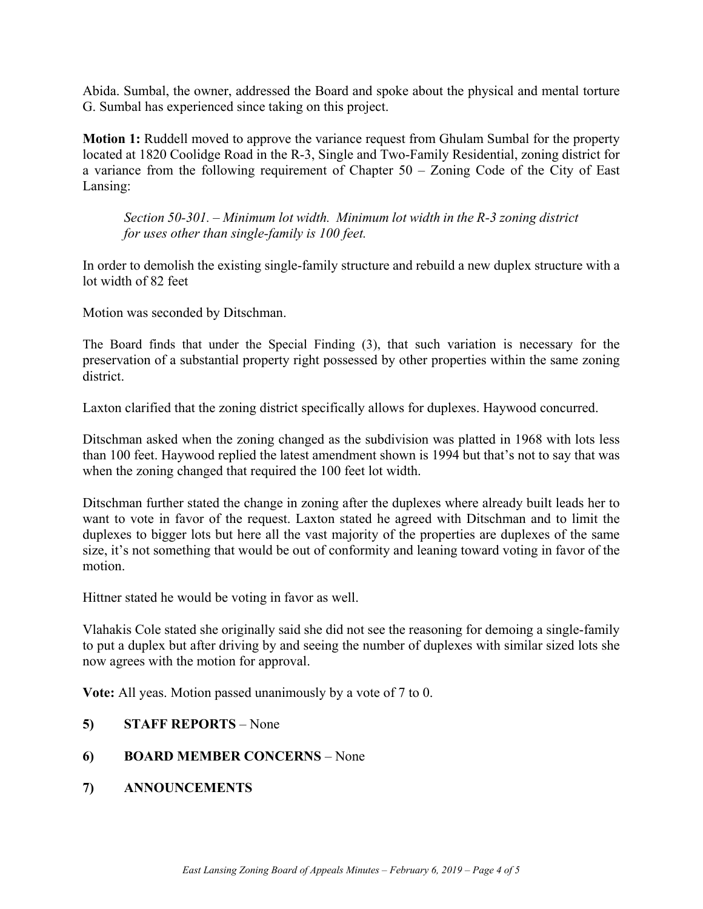Abida. Sumbal, the owner, addressed the Board and spoke about the physical and mental torture G. Sumbal has experienced since taking on this project.

**Motion 1:** Ruddell moved to approve the variance request from Ghulam Sumbal for the property located at 1820 Coolidge Road in the R-3, Single and Two-Family Residential, zoning district for a variance from the following requirement of Chapter 50 – Zoning Code of the City of East Lansing:

*Section 50-301. – Minimum lot width. Minimum lot width in the R-3 zoning district for uses other than single-family is 100 feet.* 

In order to demolish the existing single-family structure and rebuild a new duplex structure with a lot width of 82 feet

Motion was seconded by Ditschman.

The Board finds that under the Special Finding (3), that such variation is necessary for the preservation of a substantial property right possessed by other properties within the same zoning district.

Laxton clarified that the zoning district specifically allows for duplexes. Haywood concurred.

Ditschman asked when the zoning changed as the subdivision was platted in 1968 with lots less than 100 feet. Haywood replied the latest amendment shown is 1994 but that's not to say that was when the zoning changed that required the 100 feet lot width.

Ditschman further stated the change in zoning after the duplexes where already built leads her to want to vote in favor of the request. Laxton stated he agreed with Ditschman and to limit the duplexes to bigger lots but here all the vast majority of the properties are duplexes of the same size, it's not something that would be out of conformity and leaning toward voting in favor of the motion.

Hittner stated he would be voting in favor as well.

Vlahakis Cole stated she originally said she did not see the reasoning for demoing a single-family to put a duplex but after driving by and seeing the number of duplexes with similar sized lots she now agrees with the motion for approval.

**Vote:** All yeas. Motion passed unanimously by a vote of 7 to 0.

- **5) STAFF REPORTS** None
- **6) BOARD MEMBER CONCERNS** None
- **7) ANNOUNCEMENTS**